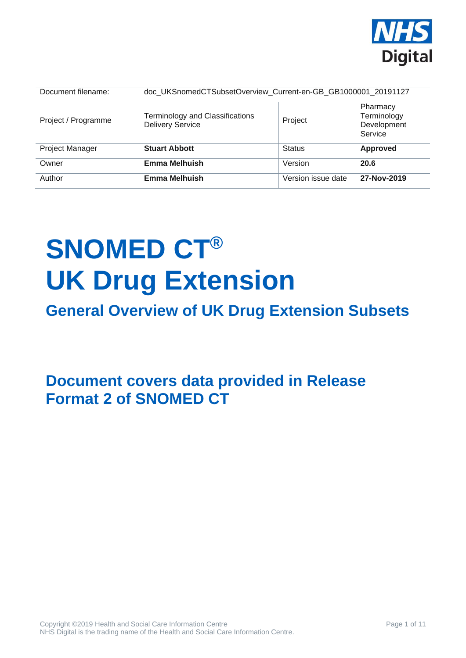

| Document filename:  | doc_UKSnomedCTSubsetOverview_Current-en-GB_GB1000001_20191127     |                    |                                                   |
|---------------------|-------------------------------------------------------------------|--------------------|---------------------------------------------------|
| Project / Programme | <b>Terminology and Classifications</b><br><b>Delivery Service</b> | Project            | Pharmacy<br>Terminology<br>Development<br>Service |
| Project Manager     | <b>Stuart Abbott</b>                                              | <b>Status</b>      | <b>Approved</b>                                   |
| Owner               | Emma Melhuish                                                     | Version            | 20.6                                              |
| Author              | Emma Melhuish                                                     | Version issue date | 27-Nov-2019                                       |

# **SNOMED CT® UK Drug Extension**

## **General Overview of UK Drug Extension Subsets**

**Document covers data provided in Release Format 2 of SNOMED CT**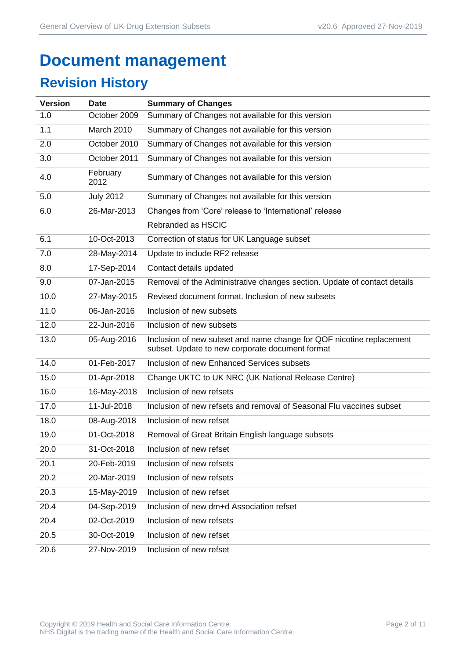## **Document management**

## **Revision History**

| Summary of Changes not available for this version<br>1.0<br>October 2009<br>1.1<br>March 2010<br>Summary of Changes not available for this version |  |
|----------------------------------------------------------------------------------------------------------------------------------------------------|--|
|                                                                                                                                                    |  |
|                                                                                                                                                    |  |
| 2.0<br>October 2010<br>Summary of Changes not available for this version                                                                           |  |
| 3.0<br>October 2011<br>Summary of Changes not available for this version                                                                           |  |
| February<br>4.0<br>Summary of Changes not available for this version<br>2012                                                                       |  |
| Summary of Changes not available for this version<br>5.0<br><b>July 2012</b>                                                                       |  |
| Changes from 'Core' release to 'International' release<br>6.0<br>26-Mar-2013                                                                       |  |
| Rebranded as HSCIC                                                                                                                                 |  |
| 6.1<br>10-Oct-2013<br>Correction of status for UK Language subset                                                                                  |  |
| 7.0<br>28-May-2014<br>Update to include RF2 release                                                                                                |  |
| 8.0<br>17-Sep-2014<br>Contact details updated                                                                                                      |  |
| 07-Jan-2015<br>9.0<br>Removal of the Administrative changes section. Update of contact details                                                     |  |
| 10.0<br>Revised document format. Inclusion of new subsets<br>27-May-2015                                                                           |  |
| 11.0<br>06-Jan-2016<br>Inclusion of new subsets                                                                                                    |  |
| 12.0<br>22-Jun-2016<br>Inclusion of new subsets                                                                                                    |  |
| Inclusion of new subset and name change for QOF nicotine replacement<br>13.0<br>05-Aug-2016<br>subset. Update to new corporate document format     |  |
| Inclusion of new Enhanced Services subsets<br>14.0<br>01-Feb-2017                                                                                  |  |
| 15.0<br>01-Apr-2018<br>Change UKTC to UK NRC (UK National Release Centre)                                                                          |  |
| 16.0<br>Inclusion of new refsets<br>16-May-2018                                                                                                    |  |
| 17.0<br>11-Jul-2018<br>Inclusion of new refsets and removal of Seasonal Flu vaccines subset                                                        |  |
| 18.0<br>Inclusion of new refset<br>08-Aug-2018                                                                                                     |  |
| 19.0<br>01-Oct-2018<br>Removal of Great Britain English language subsets                                                                           |  |
| 31-Oct-2018<br>Inclusion of new refset<br>20.0                                                                                                     |  |
| 20-Feb-2019<br>Inclusion of new refsets<br>20.1                                                                                                    |  |
| 20.2<br>20-Mar-2019<br>Inclusion of new refsets                                                                                                    |  |
| 20.3<br>Inclusion of new refset<br>15-May-2019                                                                                                     |  |
| Inclusion of new dm+d Association refset<br>20.4<br>04-Sep-2019                                                                                    |  |
| 02-Oct-2019<br>Inclusion of new refsets<br>20.4                                                                                                    |  |
| 20.5<br>30-Oct-2019<br>Inclusion of new refset                                                                                                     |  |
| 27-Nov-2019<br>Inclusion of new refset<br>20.6                                                                                                     |  |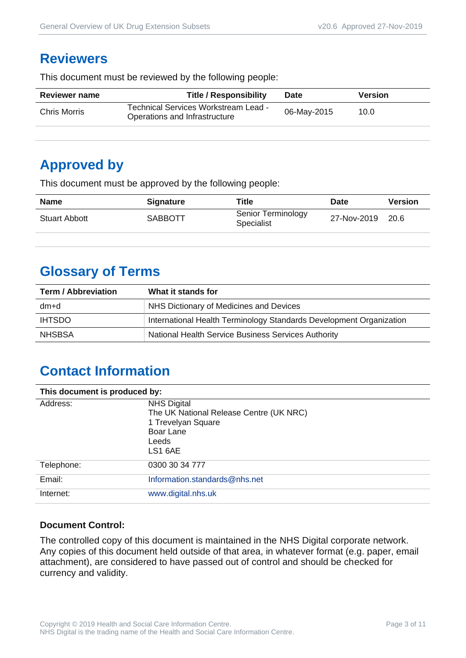#### **Reviewers**

This document must be reviewed by the following people:

| Technical Services Workstream Lead -<br>06-May-2015<br><b>Chris Morris</b><br>10.0<br>Operations and Infrastructure | <b>Reviewer name</b> | <b>Title / Responsibility</b> | <b>Date</b> | <b>Version</b> |
|---------------------------------------------------------------------------------------------------------------------|----------------------|-------------------------------|-------------|----------------|
|                                                                                                                     |                      |                               |             |                |

### **Approved by**

This document must be approved by the following people:

| <b>Name</b>          | <b>Signature</b> | <b>Title</b>                            | <b>Date</b> | <b>Version</b> |
|----------------------|------------------|-----------------------------------------|-------------|----------------|
| <b>Stuart Abbott</b> | SABBOTT          | Senior Terminology<br><b>Specialist</b> | 27-Nov-2019 | 20.6           |

## **Glossary of Terms**

| <b>Term / Abbreviation</b> | What it stands for                                                  |  |
|----------------------------|---------------------------------------------------------------------|--|
| dm+d                       | NHS Dictionary of Medicines and Devices                             |  |
| <b>IHTSDO</b>              | International Health Terminology Standards Development Organization |  |
| <b>NHSBSA</b>              | National Health Service Business Services Authority                 |  |

## **Contact Information**

| This document is produced by: |                                                                                                                      |  |
|-------------------------------|----------------------------------------------------------------------------------------------------------------------|--|
| Address:                      | <b>NHS Digital</b><br>The UK National Release Centre (UK NRC)<br>1 Trevelyan Square<br>Boar Lane<br>Leeds<br>LS1 6AE |  |
| Telephone:                    | 0300 30 34 777                                                                                                       |  |
| Email:                        | Information.standards@nhs.net                                                                                        |  |
| Internet:                     | www.digital.nhs.uk                                                                                                   |  |

#### **Document Control:**

The controlled copy of this document is maintained in the NHS Digital corporate network. Any copies of this document held outside of that area, in whatever format (e.g. paper, email attachment), are considered to have passed out of control and should be checked for currency and validity.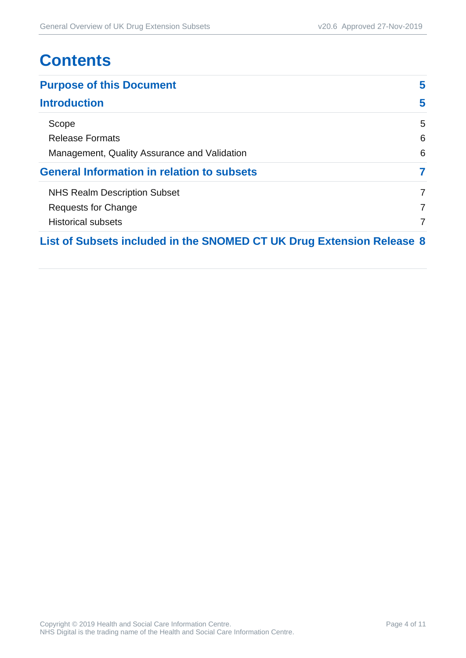## **Contents**

| <b>Purpose of this Document</b>                                       | 5 |
|-----------------------------------------------------------------------|---|
| <b>Introduction</b>                                                   | 5 |
| Scope                                                                 | 5 |
| <b>Release Formats</b>                                                | 6 |
| Management, Quality Assurance and Validation                          |   |
| <b>General Information in relation to subsets</b>                     | 7 |
| <b>NHS Realm Description Subset</b>                                   | 7 |
| Requests for Change                                                   | 7 |
| <b>Historical subsets</b>                                             | 7 |
| List of Subsets included in the SNOMED CT UK Drug Extension Release 8 |   |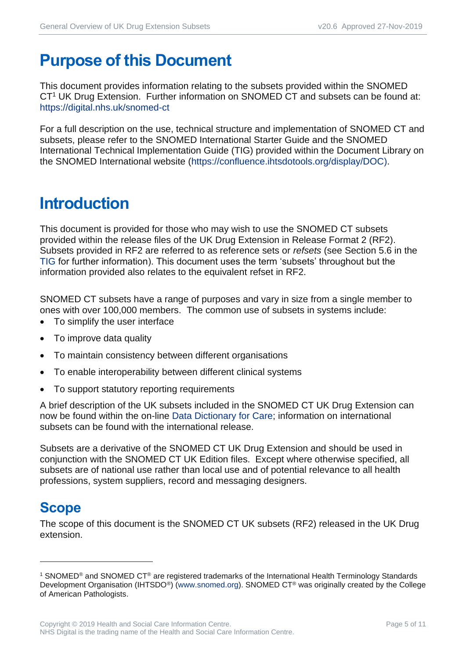## <span id="page-4-0"></span>**Purpose of this Document**

This document provides information relating to the subsets provided within the SNOMED CT<sup>1</sup> UK Drug Extension. Further information on SNOMED CT and subsets can be found at: <https://digital.nhs.uk/snomed-ct>

For a full description on the use, technical structure and implementation of SNOMED CT and subsets, please refer to the SNOMED International Starter Guide and the SNOMED International Technical Implementation Guide (TIG) provided within the Document Library on the SNOMED International website [\(https://confluence.ihtsdotools.org/display/DOC\)](https://confluence.ihtsdotools.org/display/DOC).

## <span id="page-4-1"></span>**Introduction**

This document is provided for those who may wish to use the SNOMED CT subsets provided within the release files of the UK Drug Extension in Release Format 2 (RF2). Subsets provided in RF2 are referred to as reference sets or *refsets* (see Section 5.6 in the [TIG](http://snomed.org/tig) for further information). This document uses the term 'subsets' throughout but the information provided also relates to the equivalent refset in RF2.

SNOMED CT subsets have a range of purposes and vary in size from a single member to ones with over 100,000 members. The common use of subsets in systems include:

- To simplify the user interface
- To improve data quality
- To maintain consistency between different organisations
- To enable interoperability between different clinical systems
- To support statutory reporting requirements

A brief description of the UK subsets included in the SNOMED CT UK Drug Extension can now be found within the on-line [Data Dictionary for Care;](https://dd4c.digital.nhs.uk/dd4c/) information on international subsets can be found with the international release.

Subsets are a derivative of the SNOMED CT UK Drug Extension and should be used in conjunction with the SNOMED CT UK Edition files. Except where otherwise specified, all subsets are of national use rather than local use and of potential relevance to all health professions, system suppliers, record and messaging designers.

#### <span id="page-4-2"></span>**Scope**

The scope of this document is the SNOMED CT UK subsets (RF2) released in the UK Drug extension.

<sup>1</sup> SNOMED® and SNOMED CT® are registered trademarks of the International Health Terminology Standards Development Organisation (IHTSDO<sup>®</sup>) [\(www.snomed.org\)](http://www.snomed.org/). SNOMED CT<sup>®</sup> was originally created by the College of American Pathologists.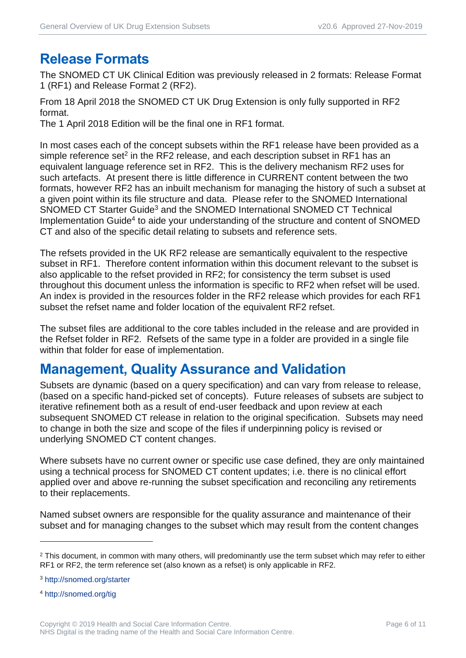### <span id="page-5-0"></span>**Release Formats**

The SNOMED CT UK Clinical Edition was previously released in 2 formats: Release Format 1 (RF1) and Release Format 2 (RF2).

From 18 April 2018 the SNOMED CT UK Drug Extension is only fully supported in RF2 format.

The 1 April 2018 Edition will be the final one in RF1 format.

In most cases each of the concept subsets within the RF1 release have been provided as a simple reference set<sup>2</sup> in the RF2 release, and each description subset in RF1 has an equivalent language reference set in RF2. This is the delivery mechanism RF2 uses for such artefacts. At present there is little difference in CURRENT content between the two formats, however RF2 has an inbuilt mechanism for managing the history of such a subset at a given point within its file structure and data. Please refer to the SNOMED International SNOMED CT Starter Guide<sup>3</sup> and the SNOMED International SNOMED CT Technical Implementation Guide<sup>4</sup> to aide your understanding of the structure and content of SNOMED CT and also of the specific detail relating to subsets and reference sets.

The refsets provided in the UK RF2 release are semantically equivalent to the respective subset in RF1. Therefore content information within this document relevant to the subset is also applicable to the refset provided in RF2; for consistency the term subset is used throughout this document unless the information is specific to RF2 when refset will be used. An index is provided in the resources folder in the RF2 release which provides for each RF1 subset the refset name and folder location of the equivalent RF2 refset.

The subset files are additional to the core tables included in the release and are provided in the Refset folder in RF2. Refsets of the same type in a folder are provided in a single file within that folder for ease of implementation.

#### <span id="page-5-1"></span>**Management, Quality Assurance and Validation**

Subsets are dynamic (based on a query specification) and can vary from release to release, (based on a specific hand-picked set of concepts). Future releases of subsets are subject to iterative refinement both as a result of end-user feedback and upon review at each subsequent SNOMED CT release in relation to the original specification. Subsets may need to change in both the size and scope of the files if underpinning policy is revised or underlying SNOMED CT content changes.

Where subsets have no current owner or specific use case defined, they are only maintained using a technical process for SNOMED CT content updates; i.e. there is no clinical effort applied over and above re-running the subset specification and reconciling any retirements to their replacements.

Named subset owners are responsible for the quality assurance and maintenance of their subset and for managing changes to the subset which may result from the content changes

<sup>3</sup> <http://snomed.org/starter>

<sup>4</sup> <http://snomed.org/tig>

<sup>&</sup>lt;sup>2</sup> This document, in common with many others, will predominantly use the term subset which may refer to either RF1 or RF2, the term reference set (also known as a refset) is only applicable in RF2.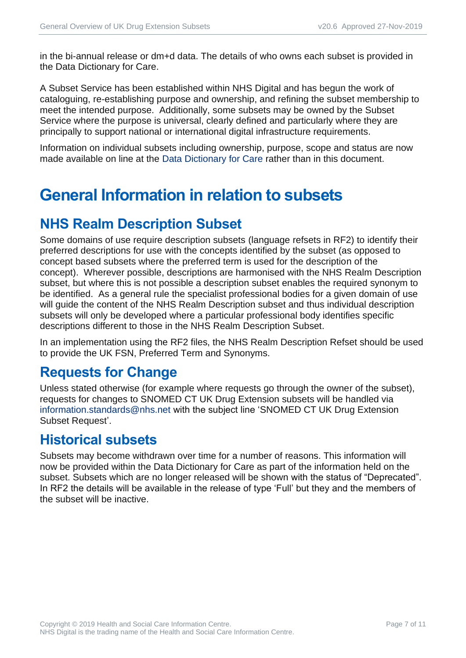in the bi-annual release or dm+d data. The details of who owns each subset is provided in the Data Dictionary for Care.

A Subset Service has been established within NHS Digital and has begun the work of cataloguing, re-establishing purpose and ownership, and refining the subset membership to meet the intended purpose. Additionally, some subsets may be owned by the Subset Service where the purpose is universal, clearly defined and particularly where they are principally to support national or international digital infrastructure requirements.

Information on individual subsets including ownership, purpose, scope and status are now made available on line at the [Data Dictionary for Care](https://dd4c.digital.nhs.uk/dd4c/) rather than in this document.

## <span id="page-6-0"></span>**General Information in relation to subsets**

## <span id="page-6-1"></span>**NHS Realm Description Subset**

Some domains of use require description subsets (language refsets in RF2) to identify their preferred descriptions for use with the concepts identified by the subset (as opposed to concept based subsets where the preferred term is used for the description of the concept). Wherever possible, descriptions are harmonised with the NHS Realm Description subset, but where this is not possible a description subset enables the required synonym to be identified. As a general rule the specialist professional bodies for a given domain of use will guide the content of the NHS Realm Description subset and thus individual description subsets will only be developed where a particular professional body identifies specific descriptions different to those in the NHS Realm Description Subset.

In an implementation using the RF2 files, the NHS Realm Description Refset should be used to provide the UK FSN, Preferred Term and Synonyms.

#### <span id="page-6-2"></span>**Requests for Change**

Unless stated otherwise (for example where requests go through the owner of the subset), requests for changes to SNOMED CT UK Drug Extension subsets will be handled via [information.standards@nhs.net](mailto:information.standards@nhs.net) with the subject line 'SNOMED CT UK Drug Extension Subset Request'.

#### <span id="page-6-3"></span>**Historical subsets**

Subsets may become withdrawn over time for a number of reasons. This information will now be provided within the Data Dictionary for Care as part of the information held on the subset. Subsets which are no longer released will be shown with the status of "Deprecated". In RF2 the details will be available in the release of type 'Full' but they and the members of the subset will be inactive.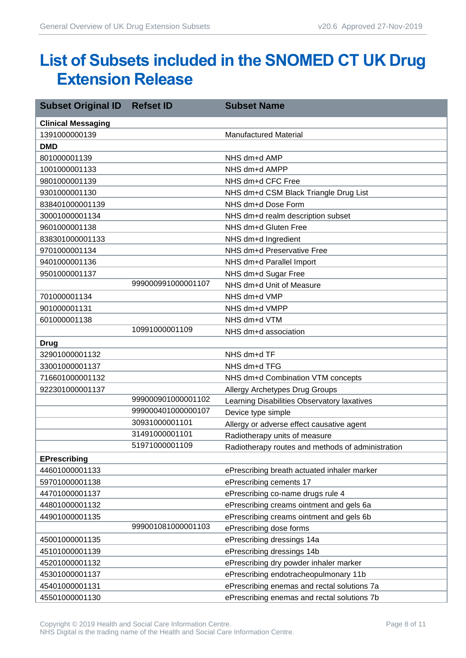## <span id="page-7-0"></span>**List of Subsets included in the SNOMED CT UK Drug Extension Release**

| <b>Subset Original ID</b> | <b>Refset ID</b>   | <b>Subset Name</b>                                |
|---------------------------|--------------------|---------------------------------------------------|
| <b>Clinical Messaging</b> |                    |                                                   |
| 1391000000139             |                    | <b>Manufactured Material</b>                      |
| <b>DMD</b>                |                    |                                                   |
| 801000001139              |                    | NHS dm+d AMP                                      |
| 1001000001133             |                    | NHS dm+d AMPP                                     |
| 9801000001139             |                    | NHS dm+d CFC Free                                 |
| 9301000001130             |                    | NHS dm+d CSM Black Triangle Drug List             |
| 838401000001139           |                    | NHS dm+d Dose Form                                |
| 30001000001134            |                    | NHS dm+d realm description subset                 |
| 9601000001138             |                    | NHS dm+d Gluten Free                              |
| 838301000001133           |                    | NHS dm+d Ingredient                               |
| 9701000001134             |                    | NHS dm+d Preservative Free                        |
| 9401000001136             |                    | NHS dm+d Parallel Import                          |
| 9501000001137             |                    | NHS dm+d Sugar Free                               |
|                           | 999000991000001107 | NHS dm+d Unit of Measure                          |
| 701000001134              |                    | NHS dm+d VMP                                      |
| 901000001131              |                    | NHS dm+d VMPP                                     |
| 601000001138              |                    | NHS dm+d VTM                                      |
|                           | 10991000001109     | NHS dm+d association                              |
| <b>Drug</b>               |                    |                                                   |
| 32901000001132            |                    | NHS dm+d TF                                       |
| 33001000001137            |                    | NHS dm+d TFG                                      |
| 716601000001132           |                    | NHS dm+d Combination VTM concepts                 |
| 922301000001137           |                    | Allergy Archetypes Drug Groups                    |
|                           | 999000901000001102 | Learning Disabilities Observatory laxatives       |
|                           | 999000401000000107 | Device type simple                                |
|                           | 30931000001101     | Allergy or adverse effect causative agent         |
|                           | 31491000001101     | Radiotherapy units of measure                     |
|                           | 51971000001109     | Radiotherapy routes and methods of administration |
| <b>EPrescribing</b>       |                    |                                                   |
| 44601000001133            |                    | ePrescribing breath actuated inhaler marker       |
| 59701000001138            |                    | ePrescribing cements 17                           |
| 44701000001137            |                    | ePrescribing co-name drugs rule 4                 |
| 44801000001132            |                    | ePrescribing creams ointment and gels 6a          |
| 44901000001135            |                    | ePrescribing creams ointment and gels 6b          |
|                           | 999001081000001103 | ePrescribing dose forms                           |
| 45001000001135            |                    | ePrescribing dressings 14a                        |
| 45101000001139            |                    | ePrescribing dressings 14b                        |
| 45201000001132            |                    | ePrescribing dry powder inhaler marker            |
| 45301000001137            |                    | ePrescribing endotracheopulmonary 11b             |
| 45401000001131            |                    | ePrescribing enemas and rectal solutions 7a       |
| 45501000001130            |                    | ePrescribing enemas and rectal solutions 7b       |

Copyright © 2019 Health and Social Care Information Centre.<br>
Page 8 of 11 NHS Digital is the trading name of the Health and Social Care Information Centre.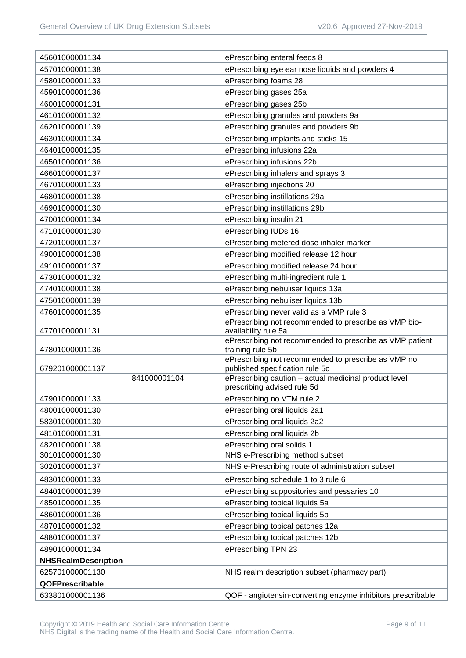| ePrescribing eye ear nose liquids and powders 4<br>45701000001138<br>ePrescribing foams 28<br>45801000001133<br>ePrescribing gases 25a<br>45901000001136<br>ePrescribing gases 25b<br>46001000001131<br>ePrescribing granules and powders 9a<br>46101000001132<br>ePrescribing granules and powders 9b<br>46201000001139<br>ePrescribing implants and sticks 15<br>46301000001134<br>ePrescribing infusions 22a<br>46401000001135<br>ePrescribing infusions 22b<br>46501000001136<br>ePrescribing inhalers and sprays 3<br>46601000001137<br>ePrescribing injections 20<br>46701000001133<br>ePrescribing instillations 29a<br>46801000001138<br>ePrescribing instillations 29b<br>46901000001130<br>ePrescribing insulin 21<br>47001000001134<br>47101000001130<br>ePrescribing IUDs 16<br>ePrescribing metered dose inhaler marker<br>47201000001137<br>ePrescribing modified release 12 hour<br>49001000001138<br>ePrescribing modified release 24 hour<br>49101000001137<br>ePrescribing multi-ingredient rule 1<br>47301000001132<br>ePrescribing nebuliser liquids 13a<br>47401000001138<br>ePrescribing nebuliser liquids 13b<br>47501000001139<br>ePrescribing never valid as a VMP rule 3<br>47601000001135<br>ePrescribing not recommended to prescribe as VMP bio-<br>47701000001131<br>availability rule 5a<br>ePrescribing not recommended to prescribe as VMP patient<br>training rule 5b<br>47801000001136<br>ePrescribing not recommended to prescribe as VMP no<br>679201000001137<br>published specification rule 5c<br>ePrescribing caution - actual medicinal product level<br>841000001104<br>prescribing advised rule 5d<br>ePrescribing no VTM rule 2<br>47901000001133<br>48001000001130<br>ePrescribing oral liquids 2a1<br>58301000001130<br>ePrescribing oral liquids 2a2<br>ePrescribing oral liquids 2b<br>48101000001131<br>ePrescribing oral solids 1<br>48201000001138<br>NHS e-Prescribing method subset<br>30101000001130<br>NHS e-Prescribing route of administration subset<br>30201000001137<br>48301000001133<br>ePrescribing schedule 1 to 3 rule 6<br>ePrescribing suppositories and pessaries 10<br>48401000001139<br>ePrescribing topical liquids 5a<br>48501000001135<br>ePrescribing topical liquids 5b<br>48601000001136<br>48701000001132<br>ePrescribing topical patches 12a<br>ePrescribing topical patches 12b<br>48801000001137<br>ePrescribing TPN 23<br>48901000001134<br><b>NHSRealmDescription</b><br>625701000001130<br>NHS realm description subset (pharmacy part)<br>QOFPrescribable | 45601000001134  | ePrescribing enteral feeds 8                                |
|------------------------------------------------------------------------------------------------------------------------------------------------------------------------------------------------------------------------------------------------------------------------------------------------------------------------------------------------------------------------------------------------------------------------------------------------------------------------------------------------------------------------------------------------------------------------------------------------------------------------------------------------------------------------------------------------------------------------------------------------------------------------------------------------------------------------------------------------------------------------------------------------------------------------------------------------------------------------------------------------------------------------------------------------------------------------------------------------------------------------------------------------------------------------------------------------------------------------------------------------------------------------------------------------------------------------------------------------------------------------------------------------------------------------------------------------------------------------------------------------------------------------------------------------------------------------------------------------------------------------------------------------------------------------------------------------------------------------------------------------------------------------------------------------------------------------------------------------------------------------------------------------------------------------------------------------------------------------------------------------------------------------------------------------------------------------------------------------------------------------------------------------------------------------------------------------------------------------------------------------------------------------------------------------------------------------------------------------------------------------------------------------------------------------------------------------------------------------------------------------------------------------------------------------|-----------------|-------------------------------------------------------------|
|                                                                                                                                                                                                                                                                                                                                                                                                                                                                                                                                                                                                                                                                                                                                                                                                                                                                                                                                                                                                                                                                                                                                                                                                                                                                                                                                                                                                                                                                                                                                                                                                                                                                                                                                                                                                                                                                                                                                                                                                                                                                                                                                                                                                                                                                                                                                                                                                                                                                                                                                                |                 |                                                             |
|                                                                                                                                                                                                                                                                                                                                                                                                                                                                                                                                                                                                                                                                                                                                                                                                                                                                                                                                                                                                                                                                                                                                                                                                                                                                                                                                                                                                                                                                                                                                                                                                                                                                                                                                                                                                                                                                                                                                                                                                                                                                                                                                                                                                                                                                                                                                                                                                                                                                                                                                                |                 |                                                             |
|                                                                                                                                                                                                                                                                                                                                                                                                                                                                                                                                                                                                                                                                                                                                                                                                                                                                                                                                                                                                                                                                                                                                                                                                                                                                                                                                                                                                                                                                                                                                                                                                                                                                                                                                                                                                                                                                                                                                                                                                                                                                                                                                                                                                                                                                                                                                                                                                                                                                                                                                                |                 |                                                             |
|                                                                                                                                                                                                                                                                                                                                                                                                                                                                                                                                                                                                                                                                                                                                                                                                                                                                                                                                                                                                                                                                                                                                                                                                                                                                                                                                                                                                                                                                                                                                                                                                                                                                                                                                                                                                                                                                                                                                                                                                                                                                                                                                                                                                                                                                                                                                                                                                                                                                                                                                                |                 |                                                             |
|                                                                                                                                                                                                                                                                                                                                                                                                                                                                                                                                                                                                                                                                                                                                                                                                                                                                                                                                                                                                                                                                                                                                                                                                                                                                                                                                                                                                                                                                                                                                                                                                                                                                                                                                                                                                                                                                                                                                                                                                                                                                                                                                                                                                                                                                                                                                                                                                                                                                                                                                                |                 |                                                             |
|                                                                                                                                                                                                                                                                                                                                                                                                                                                                                                                                                                                                                                                                                                                                                                                                                                                                                                                                                                                                                                                                                                                                                                                                                                                                                                                                                                                                                                                                                                                                                                                                                                                                                                                                                                                                                                                                                                                                                                                                                                                                                                                                                                                                                                                                                                                                                                                                                                                                                                                                                |                 |                                                             |
|                                                                                                                                                                                                                                                                                                                                                                                                                                                                                                                                                                                                                                                                                                                                                                                                                                                                                                                                                                                                                                                                                                                                                                                                                                                                                                                                                                                                                                                                                                                                                                                                                                                                                                                                                                                                                                                                                                                                                                                                                                                                                                                                                                                                                                                                                                                                                                                                                                                                                                                                                |                 |                                                             |
|                                                                                                                                                                                                                                                                                                                                                                                                                                                                                                                                                                                                                                                                                                                                                                                                                                                                                                                                                                                                                                                                                                                                                                                                                                                                                                                                                                                                                                                                                                                                                                                                                                                                                                                                                                                                                                                                                                                                                                                                                                                                                                                                                                                                                                                                                                                                                                                                                                                                                                                                                |                 |                                                             |
|                                                                                                                                                                                                                                                                                                                                                                                                                                                                                                                                                                                                                                                                                                                                                                                                                                                                                                                                                                                                                                                                                                                                                                                                                                                                                                                                                                                                                                                                                                                                                                                                                                                                                                                                                                                                                                                                                                                                                                                                                                                                                                                                                                                                                                                                                                                                                                                                                                                                                                                                                |                 |                                                             |
|                                                                                                                                                                                                                                                                                                                                                                                                                                                                                                                                                                                                                                                                                                                                                                                                                                                                                                                                                                                                                                                                                                                                                                                                                                                                                                                                                                                                                                                                                                                                                                                                                                                                                                                                                                                                                                                                                                                                                                                                                                                                                                                                                                                                                                                                                                                                                                                                                                                                                                                                                |                 |                                                             |
|                                                                                                                                                                                                                                                                                                                                                                                                                                                                                                                                                                                                                                                                                                                                                                                                                                                                                                                                                                                                                                                                                                                                                                                                                                                                                                                                                                                                                                                                                                                                                                                                                                                                                                                                                                                                                                                                                                                                                                                                                                                                                                                                                                                                                                                                                                                                                                                                                                                                                                                                                |                 |                                                             |
|                                                                                                                                                                                                                                                                                                                                                                                                                                                                                                                                                                                                                                                                                                                                                                                                                                                                                                                                                                                                                                                                                                                                                                                                                                                                                                                                                                                                                                                                                                                                                                                                                                                                                                                                                                                                                                                                                                                                                                                                                                                                                                                                                                                                                                                                                                                                                                                                                                                                                                                                                |                 |                                                             |
|                                                                                                                                                                                                                                                                                                                                                                                                                                                                                                                                                                                                                                                                                                                                                                                                                                                                                                                                                                                                                                                                                                                                                                                                                                                                                                                                                                                                                                                                                                                                                                                                                                                                                                                                                                                                                                                                                                                                                                                                                                                                                                                                                                                                                                                                                                                                                                                                                                                                                                                                                |                 |                                                             |
|                                                                                                                                                                                                                                                                                                                                                                                                                                                                                                                                                                                                                                                                                                                                                                                                                                                                                                                                                                                                                                                                                                                                                                                                                                                                                                                                                                                                                                                                                                                                                                                                                                                                                                                                                                                                                                                                                                                                                                                                                                                                                                                                                                                                                                                                                                                                                                                                                                                                                                                                                |                 |                                                             |
|                                                                                                                                                                                                                                                                                                                                                                                                                                                                                                                                                                                                                                                                                                                                                                                                                                                                                                                                                                                                                                                                                                                                                                                                                                                                                                                                                                                                                                                                                                                                                                                                                                                                                                                                                                                                                                                                                                                                                                                                                                                                                                                                                                                                                                                                                                                                                                                                                                                                                                                                                |                 |                                                             |
|                                                                                                                                                                                                                                                                                                                                                                                                                                                                                                                                                                                                                                                                                                                                                                                                                                                                                                                                                                                                                                                                                                                                                                                                                                                                                                                                                                                                                                                                                                                                                                                                                                                                                                                                                                                                                                                                                                                                                                                                                                                                                                                                                                                                                                                                                                                                                                                                                                                                                                                                                |                 |                                                             |
|                                                                                                                                                                                                                                                                                                                                                                                                                                                                                                                                                                                                                                                                                                                                                                                                                                                                                                                                                                                                                                                                                                                                                                                                                                                                                                                                                                                                                                                                                                                                                                                                                                                                                                                                                                                                                                                                                                                                                                                                                                                                                                                                                                                                                                                                                                                                                                                                                                                                                                                                                |                 |                                                             |
|                                                                                                                                                                                                                                                                                                                                                                                                                                                                                                                                                                                                                                                                                                                                                                                                                                                                                                                                                                                                                                                                                                                                                                                                                                                                                                                                                                                                                                                                                                                                                                                                                                                                                                                                                                                                                                                                                                                                                                                                                                                                                                                                                                                                                                                                                                                                                                                                                                                                                                                                                |                 |                                                             |
|                                                                                                                                                                                                                                                                                                                                                                                                                                                                                                                                                                                                                                                                                                                                                                                                                                                                                                                                                                                                                                                                                                                                                                                                                                                                                                                                                                                                                                                                                                                                                                                                                                                                                                                                                                                                                                                                                                                                                                                                                                                                                                                                                                                                                                                                                                                                                                                                                                                                                                                                                |                 |                                                             |
|                                                                                                                                                                                                                                                                                                                                                                                                                                                                                                                                                                                                                                                                                                                                                                                                                                                                                                                                                                                                                                                                                                                                                                                                                                                                                                                                                                                                                                                                                                                                                                                                                                                                                                                                                                                                                                                                                                                                                                                                                                                                                                                                                                                                                                                                                                                                                                                                                                                                                                                                                |                 |                                                             |
|                                                                                                                                                                                                                                                                                                                                                                                                                                                                                                                                                                                                                                                                                                                                                                                                                                                                                                                                                                                                                                                                                                                                                                                                                                                                                                                                                                                                                                                                                                                                                                                                                                                                                                                                                                                                                                                                                                                                                                                                                                                                                                                                                                                                                                                                                                                                                                                                                                                                                                                                                |                 |                                                             |
|                                                                                                                                                                                                                                                                                                                                                                                                                                                                                                                                                                                                                                                                                                                                                                                                                                                                                                                                                                                                                                                                                                                                                                                                                                                                                                                                                                                                                                                                                                                                                                                                                                                                                                                                                                                                                                                                                                                                                                                                                                                                                                                                                                                                                                                                                                                                                                                                                                                                                                                                                |                 |                                                             |
|                                                                                                                                                                                                                                                                                                                                                                                                                                                                                                                                                                                                                                                                                                                                                                                                                                                                                                                                                                                                                                                                                                                                                                                                                                                                                                                                                                                                                                                                                                                                                                                                                                                                                                                                                                                                                                                                                                                                                                                                                                                                                                                                                                                                                                                                                                                                                                                                                                                                                                                                                |                 |                                                             |
|                                                                                                                                                                                                                                                                                                                                                                                                                                                                                                                                                                                                                                                                                                                                                                                                                                                                                                                                                                                                                                                                                                                                                                                                                                                                                                                                                                                                                                                                                                                                                                                                                                                                                                                                                                                                                                                                                                                                                                                                                                                                                                                                                                                                                                                                                                                                                                                                                                                                                                                                                |                 |                                                             |
|                                                                                                                                                                                                                                                                                                                                                                                                                                                                                                                                                                                                                                                                                                                                                                                                                                                                                                                                                                                                                                                                                                                                                                                                                                                                                                                                                                                                                                                                                                                                                                                                                                                                                                                                                                                                                                                                                                                                                                                                                                                                                                                                                                                                                                                                                                                                                                                                                                                                                                                                                |                 |                                                             |
|                                                                                                                                                                                                                                                                                                                                                                                                                                                                                                                                                                                                                                                                                                                                                                                                                                                                                                                                                                                                                                                                                                                                                                                                                                                                                                                                                                                                                                                                                                                                                                                                                                                                                                                                                                                                                                                                                                                                                                                                                                                                                                                                                                                                                                                                                                                                                                                                                                                                                                                                                |                 |                                                             |
|                                                                                                                                                                                                                                                                                                                                                                                                                                                                                                                                                                                                                                                                                                                                                                                                                                                                                                                                                                                                                                                                                                                                                                                                                                                                                                                                                                                                                                                                                                                                                                                                                                                                                                                                                                                                                                                                                                                                                                                                                                                                                                                                                                                                                                                                                                                                                                                                                                                                                                                                                |                 |                                                             |
|                                                                                                                                                                                                                                                                                                                                                                                                                                                                                                                                                                                                                                                                                                                                                                                                                                                                                                                                                                                                                                                                                                                                                                                                                                                                                                                                                                                                                                                                                                                                                                                                                                                                                                                                                                                                                                                                                                                                                                                                                                                                                                                                                                                                                                                                                                                                                                                                                                                                                                                                                |                 |                                                             |
|                                                                                                                                                                                                                                                                                                                                                                                                                                                                                                                                                                                                                                                                                                                                                                                                                                                                                                                                                                                                                                                                                                                                                                                                                                                                                                                                                                                                                                                                                                                                                                                                                                                                                                                                                                                                                                                                                                                                                                                                                                                                                                                                                                                                                                                                                                                                                                                                                                                                                                                                                |                 |                                                             |
|                                                                                                                                                                                                                                                                                                                                                                                                                                                                                                                                                                                                                                                                                                                                                                                                                                                                                                                                                                                                                                                                                                                                                                                                                                                                                                                                                                                                                                                                                                                                                                                                                                                                                                                                                                                                                                                                                                                                                                                                                                                                                                                                                                                                                                                                                                                                                                                                                                                                                                                                                |                 |                                                             |
|                                                                                                                                                                                                                                                                                                                                                                                                                                                                                                                                                                                                                                                                                                                                                                                                                                                                                                                                                                                                                                                                                                                                                                                                                                                                                                                                                                                                                                                                                                                                                                                                                                                                                                                                                                                                                                                                                                                                                                                                                                                                                                                                                                                                                                                                                                                                                                                                                                                                                                                                                |                 |                                                             |
|                                                                                                                                                                                                                                                                                                                                                                                                                                                                                                                                                                                                                                                                                                                                                                                                                                                                                                                                                                                                                                                                                                                                                                                                                                                                                                                                                                                                                                                                                                                                                                                                                                                                                                                                                                                                                                                                                                                                                                                                                                                                                                                                                                                                                                                                                                                                                                                                                                                                                                                                                |                 |                                                             |
|                                                                                                                                                                                                                                                                                                                                                                                                                                                                                                                                                                                                                                                                                                                                                                                                                                                                                                                                                                                                                                                                                                                                                                                                                                                                                                                                                                                                                                                                                                                                                                                                                                                                                                                                                                                                                                                                                                                                                                                                                                                                                                                                                                                                                                                                                                                                                                                                                                                                                                                                                |                 |                                                             |
|                                                                                                                                                                                                                                                                                                                                                                                                                                                                                                                                                                                                                                                                                                                                                                                                                                                                                                                                                                                                                                                                                                                                                                                                                                                                                                                                                                                                                                                                                                                                                                                                                                                                                                                                                                                                                                                                                                                                                                                                                                                                                                                                                                                                                                                                                                                                                                                                                                                                                                                                                |                 |                                                             |
|                                                                                                                                                                                                                                                                                                                                                                                                                                                                                                                                                                                                                                                                                                                                                                                                                                                                                                                                                                                                                                                                                                                                                                                                                                                                                                                                                                                                                                                                                                                                                                                                                                                                                                                                                                                                                                                                                                                                                                                                                                                                                                                                                                                                                                                                                                                                                                                                                                                                                                                                                |                 |                                                             |
|                                                                                                                                                                                                                                                                                                                                                                                                                                                                                                                                                                                                                                                                                                                                                                                                                                                                                                                                                                                                                                                                                                                                                                                                                                                                                                                                                                                                                                                                                                                                                                                                                                                                                                                                                                                                                                                                                                                                                                                                                                                                                                                                                                                                                                                                                                                                                                                                                                                                                                                                                |                 |                                                             |
|                                                                                                                                                                                                                                                                                                                                                                                                                                                                                                                                                                                                                                                                                                                                                                                                                                                                                                                                                                                                                                                                                                                                                                                                                                                                                                                                                                                                                                                                                                                                                                                                                                                                                                                                                                                                                                                                                                                                                                                                                                                                                                                                                                                                                                                                                                                                                                                                                                                                                                                                                |                 |                                                             |
|                                                                                                                                                                                                                                                                                                                                                                                                                                                                                                                                                                                                                                                                                                                                                                                                                                                                                                                                                                                                                                                                                                                                                                                                                                                                                                                                                                                                                                                                                                                                                                                                                                                                                                                                                                                                                                                                                                                                                                                                                                                                                                                                                                                                                                                                                                                                                                                                                                                                                                                                                |                 |                                                             |
|                                                                                                                                                                                                                                                                                                                                                                                                                                                                                                                                                                                                                                                                                                                                                                                                                                                                                                                                                                                                                                                                                                                                                                                                                                                                                                                                                                                                                                                                                                                                                                                                                                                                                                                                                                                                                                                                                                                                                                                                                                                                                                                                                                                                                                                                                                                                                                                                                                                                                                                                                |                 |                                                             |
|                                                                                                                                                                                                                                                                                                                                                                                                                                                                                                                                                                                                                                                                                                                                                                                                                                                                                                                                                                                                                                                                                                                                                                                                                                                                                                                                                                                                                                                                                                                                                                                                                                                                                                                                                                                                                                                                                                                                                                                                                                                                                                                                                                                                                                                                                                                                                                                                                                                                                                                                                |                 |                                                             |
|                                                                                                                                                                                                                                                                                                                                                                                                                                                                                                                                                                                                                                                                                                                                                                                                                                                                                                                                                                                                                                                                                                                                                                                                                                                                                                                                                                                                                                                                                                                                                                                                                                                                                                                                                                                                                                                                                                                                                                                                                                                                                                                                                                                                                                                                                                                                                                                                                                                                                                                                                |                 |                                                             |
|                                                                                                                                                                                                                                                                                                                                                                                                                                                                                                                                                                                                                                                                                                                                                                                                                                                                                                                                                                                                                                                                                                                                                                                                                                                                                                                                                                                                                                                                                                                                                                                                                                                                                                                                                                                                                                                                                                                                                                                                                                                                                                                                                                                                                                                                                                                                                                                                                                                                                                                                                |                 |                                                             |
|                                                                                                                                                                                                                                                                                                                                                                                                                                                                                                                                                                                                                                                                                                                                                                                                                                                                                                                                                                                                                                                                                                                                                                                                                                                                                                                                                                                                                                                                                                                                                                                                                                                                                                                                                                                                                                                                                                                                                                                                                                                                                                                                                                                                                                                                                                                                                                                                                                                                                                                                                |                 |                                                             |
|                                                                                                                                                                                                                                                                                                                                                                                                                                                                                                                                                                                                                                                                                                                                                                                                                                                                                                                                                                                                                                                                                                                                                                                                                                                                                                                                                                                                                                                                                                                                                                                                                                                                                                                                                                                                                                                                                                                                                                                                                                                                                                                                                                                                                                                                                                                                                                                                                                                                                                                                                |                 |                                                             |
|                                                                                                                                                                                                                                                                                                                                                                                                                                                                                                                                                                                                                                                                                                                                                                                                                                                                                                                                                                                                                                                                                                                                                                                                                                                                                                                                                                                                                                                                                                                                                                                                                                                                                                                                                                                                                                                                                                                                                                                                                                                                                                                                                                                                                                                                                                                                                                                                                                                                                                                                                |                 |                                                             |
|                                                                                                                                                                                                                                                                                                                                                                                                                                                                                                                                                                                                                                                                                                                                                                                                                                                                                                                                                                                                                                                                                                                                                                                                                                                                                                                                                                                                                                                                                                                                                                                                                                                                                                                                                                                                                                                                                                                                                                                                                                                                                                                                                                                                                                                                                                                                                                                                                                                                                                                                                | 633801000001136 | QOF - angiotensin-converting enzyme inhibitors prescribable |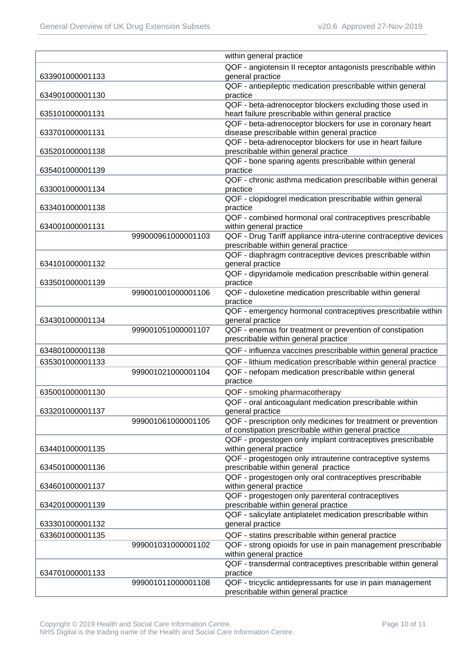|                 |                    | within general practice                                                |
|-----------------|--------------------|------------------------------------------------------------------------|
|                 |                    | QOF - angiotensin II receptor antagonists prescribable within          |
| 633901000001133 |                    | general practice                                                       |
|                 |                    | QOF - antiepileptic medication prescribable within general             |
| 634901000001130 |                    | practice                                                               |
|                 |                    | QOF - beta-adrenoceptor blockers excluding those used in               |
| 635101000001131 |                    | heart failure prescribable within general practice                     |
|                 |                    | QOF - beta-adrenoceptor blockers for use in coronary heart             |
| 633701000001131 |                    | disease prescribable within general practice                           |
|                 |                    | QOF - beta-adrenoceptor blockers for use in heart failure              |
| 635201000001138 |                    | prescribable within general practice                                   |
| 635401000001139 |                    | QOF - bone sparing agents prescribable within general<br>practice      |
|                 |                    | QOF - chronic asthma medication prescribable within general            |
| 633001000001134 |                    | practice                                                               |
|                 |                    | QOF - clopidogrel medication prescribable within general               |
| 633401000001138 |                    | practice                                                               |
|                 |                    | QOF - combined hormonal oral contraceptives prescribable               |
| 634001000001131 |                    | within general practice                                                |
|                 | 999000961000001103 | QOF - Drug Tariff appliance intra-uterine contraceptive devices        |
|                 |                    | prescribable within general practice                                   |
|                 |                    | QOF - diaphragm contraceptive devices prescribable within              |
| 634101000001132 |                    | general practice                                                       |
|                 |                    | QOF - dipyridamole medication prescribable within general              |
| 633501000001139 |                    | practice                                                               |
|                 | 999001001000001106 | QOF - duloxetine medication prescribable within general                |
|                 |                    | practice                                                               |
|                 |                    | QOF - emergency hormonal contraceptives prescribable within            |
| 634301000001134 |                    | general practice                                                       |
|                 | 999001051000001107 | QOF - enemas for treatment or prevention of constipation               |
|                 |                    | prescribable within general practice                                   |
| 634801000001138 |                    | QOF - influenza vaccines prescribable within general practice          |
| 635301000001133 |                    | QOF - lithium medication prescribable within general practice          |
|                 | 999001021000001104 | QOF - nefopam medication prescribable within general                   |
|                 |                    | practice                                                               |
| 635001000001130 |                    | QOF - smoking pharmacotherapy                                          |
|                 |                    | QOF - oral anticoagulant medication prescribable within                |
| 633201000001137 |                    | general practice                                                       |
|                 | 999001061000001105 | QOF - prescription only medicines for treatment or prevention          |
|                 |                    | of constipation prescribable within general practice                   |
|                 |                    | QOF - progestogen only implant contraceptives prescribable             |
| 634401000001135 |                    | within general practice                                                |
|                 |                    | QOF - progestogen only intrauterine contraceptive systems              |
| 634501000001136 |                    | prescribable within general practice                                   |
|                 |                    | QOF - progestogen only oral contraceptives prescribable                |
| 634601000001137 |                    | within general practice                                                |
|                 |                    | QOF - progestogen only parenteral contraceptives                       |
| 634201000001139 |                    | prescribable within general practice                                   |
|                 |                    | QOF - salicylate antiplatelet medication prescribable within           |
| 633301000001132 |                    | general practice                                                       |
| 633601000001135 |                    | QOF - statins prescribable within general practice                     |
|                 | 999001031000001102 | QOF - strong opioids for use in pain management prescribable           |
|                 |                    | within general practice                                                |
|                 |                    | QOF - transdermal contraceptives prescribable within general           |
| 634701000001133 | 999001011000001108 | practice<br>QOF - tricyclic antidepressants for use in pain management |
|                 |                    | prescribable within general practice                                   |
|                 |                    |                                                                        |